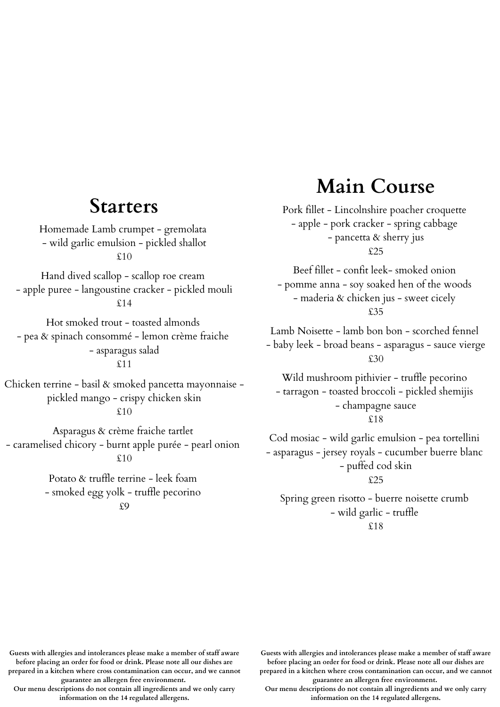#### **Starters**

Homemade Lamb crumpet - gremolata - wild garlic emulsion - pickled shallot £10

Hand dived scallop - scallop roe cream - apple puree - langoustine cracker - pickled mouli  $\Omega$ 14

Hot smoked trout - toasted almonds - pea & spinach consommé - lemon crème fraiche - asparagus salad £11

Chicken terrine - basil & smoked pancetta mayonnaise pickled mango - crispy chicken skin

£10

Asparagus & crème fraiche tartlet - caramelised chicory - burnt apple purée - pearl onion £10

> Potato & truffle terrine - leek foam - smoked egg yolk - truffle pecorino £9

#### **Main Course**

Pork fillet - Lincolnshire poacher croquette - apple - pork cracker - spring cabbage - pancetta & sherry jus £25

Beef fillet - confit leek- smoked onion - pomme anna - soy soaked hen of the woods - maderia & chicken jus - sweet cicely £35

Lamb Noisette - lamb bon bon - scorched fennel - baby leek - broad beans - asparagus - sauce vierge £30

Wild mushroom pithivier - truffle pecorino - tarragon - toasted broccoli - pickled shemijis - champagne sauce £18

Cod mosiac - wild garlic emulsion - pea tortellini - asparagus - jersey royals - cucumber buerre blanc - puffed cod skin £25

Spring green risotto - buerre noisette crumb - wild garlic - truffle £18

**Guests with allergies and intolerances please make a member of staff aware before placing an order for food or drink. Please note all our dishes are**

**prepared in a kitchen where cross contamination can occur, and we cannot guarantee an allergen free environment.**

**Our menu descriptions do not contain all ingredients and we only carry information on the 14 regulated allergens.**

**Guests with allergies and intolerances please make a member of staff aware before placing an order for food or drink. Please note all our dishes are**

**prepared in a kitchen where cross contamination can occur, and we cannot guarantee an allergen free environment.**

**Our menu descriptions do not contain all ingredients and we only carry information on the 14 regulated allergens.**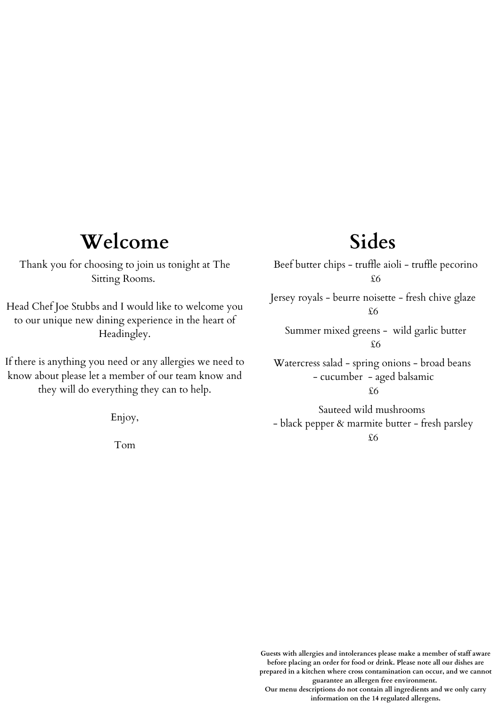#### **Welcome**

Thank you for choosing to join us tonight at The Sitting Rooms.

Head Chef Joe Stubbs and I would like to welcome you to our unique new dining experience in the heart of Headingley.

If there is anything you need or any allergies we need to know about please let a member of our team know and they will do everything they can to help.

Enjoy,

Tom

### **Sides**

Beef butter chips - truffle aioli - truffle pecorino £6 Jersey royals - beurre noisette - fresh chive glaze £6 Summer mixed greens - wild garlic butter £6 Sauteed wild mushrooms Watercress salad - spring onions - broad beans - cucumber - aged balsamic £6

- black pepper & marmite butter - fresh parsley £6

**Guests with allergies and intolerances please make a member of staff aware before placing an order for food or drink. Please note all our dishes are prepared in a kitchen where cross contamination can occur, and we cannot guarantee an allergen free environment. Our menu descriptions do not contain all ingredients and we only carry**

**information on the 14 regulated allergens.**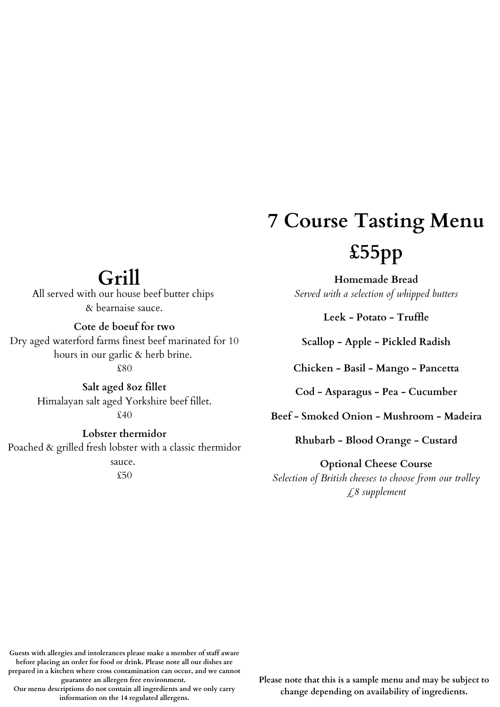# **7 Course Tasting Menu £55pp**

**Homemade Bread** *Served with a selection of whipped butters*

**Leek - Potato - Truffle**

**Scallop - Apple - Pickled Radish**

**Chicken - Basil - Mango - Pancetta**

**Cod - Asparagus - Pea - Cucumber**

**Beef - Smoked Onion - Mushroom - Madeira**

**Rhubarb - Blood Orange - Custard**

**Optional Cheese Course** *Selection of British cheeses to choose from our trolley £8 supplement*

## **Grill**

All served with our house beef butter chips & bearnaise sauce.

**Cote de boeuf for two**

Dry aged waterford farms finest beef marinated for 10 hours in our garlic & herb brine.

£80

**Salt aged 8oz fillet** Himalayan salt aged Yorkshire beef fillet. £40

**Lobster thermidor** Poached & grilled fresh lobster with a classic thermidor sauce. £50

**Guests with allergies and intolerances please make a member of staff aware before placing an order for food or drink. Please note all our dishes are**

**prepared in a kitchen where cross contamination can occur, and we cannot guarantee an allergen free environment.**

**Our menu descriptions do not contain all ingredients and we only carry information on the 14 regulated allergens.**

**Please note that this is a sample menu and may be subject to change depending on availability of ingredients.**